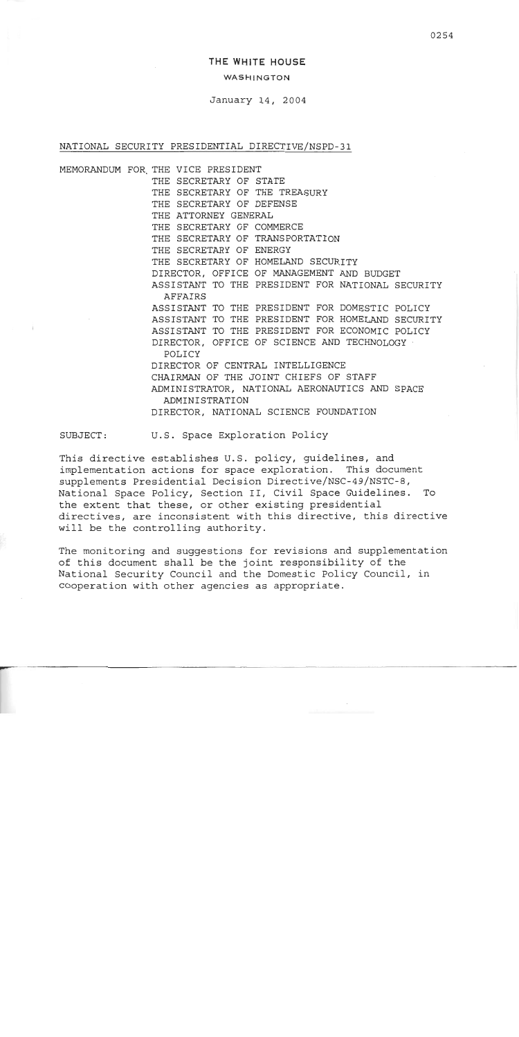# **THE WHITE HOUSE**

## WASHINGTON

January 14, 2004

### NATIONAL SECURITY PRESIDENTIAL DIRECTIVE/NSPD-31

MEMORANDUM FOR-THE VICE PRESIDENT THE SECRETARY OF STATE THE SECRETARY OF THE TREASURY THE SECRETARY OF DEFENSE THE ATTORNEY GENERAL THE SECRETARY OF COMMERCE THE SECRETARY OF TRANSPORTATION THE SECRETARY OF ENERGY THE SECRETARY OF HOMELAND SECURITY DIRECTOR, OFFICE OF MANAGEMENT AND BUDGET ASSISTANT TO THE PRESIDENT FOR NATIONAL SECURITY AFFAIRS ASSISTANT TO THE PRESIDENT FOR DOMESTIC POLICY ASSISTANT TO THE PRESIDENT FOR HOMELAND SECURITY ASSISTANT TO THE PRESIDENT FOR ECONOMIC POLICY DIRECTOR, OFFICE OF SCIENCE AND TECHNOLOGY POLICY DIRECTOR OF CENTRAL INTELLIGENCE CHAIRMAN OF THE JOINT CHIEFS OF STAFF ADMINISTRATOR, NATIONAL AERONAUTICS *AND* SPACE ADMINISTRATION DIRECTOR, NATIONAL SCIENCE FOUNDATION

SUBJECT: U.S. Space Exploration Policy

This directive establishes U.S. policy, guidelines, and implementation actions for space exploration. This document supplements Presidential Decision Directive/NSC-49/NSTC-8, National Space Policy, Section 11, Civil Space Guidelines. To the extent that these, or other existing presidential directives, are inconsistent with this directive, this directive will be the controlling authority.

The monitoring and suggestions for revisions and supplementation of this document shall be the joint responsibility of the National Security Council and the Domestic Policy Council, in cooperation with other agencies as appropriate.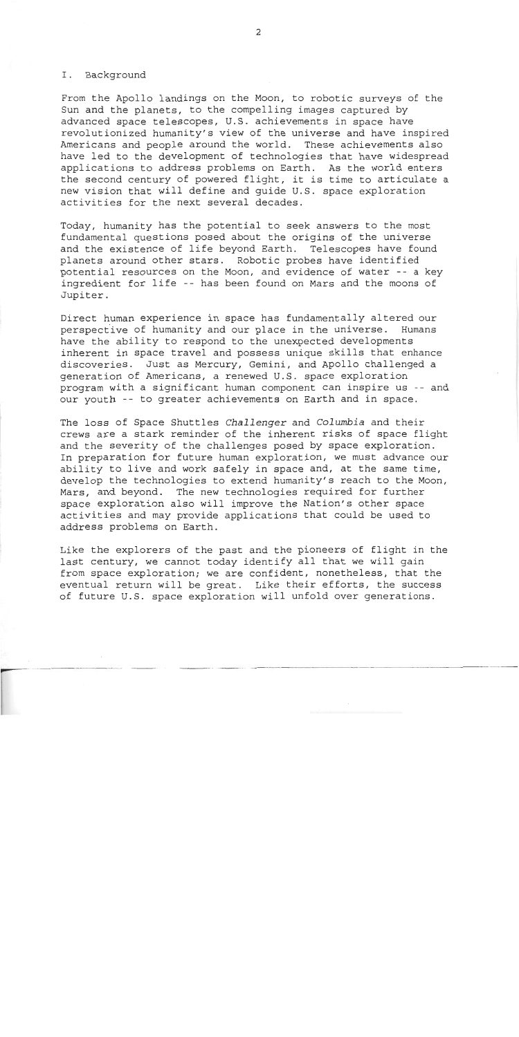#### I. Background

From the Apollo landings on the Moon, to robotic surveys of the Sun and the planets, to the compelling images captured by advanced space telescopes, U.S. achievements in space have revolutionized humanity's view of the universe and have inspired Americans and people around the world. These achievements also have led to the development of technologies that have widespread applications to address problems on Earth. As the world enters the second century of powered flight, it is time to articulate a new vision that will define and guide U.S. space exploration activities for the next several decades.

Today, humanity has the potential to seek answers to the most fundamental questions posed about the origins of the universe and the existence of life beyond Earth. Telescopes have found planets around other stars. Robotic probes have identified potential resources on the Moon, and evidence of water -- a key ingredient for life -- has been found on Mars and the moons of Jupiter.

Direct human experience in space has fundamentally altered our Direct human experience in space has fundamentally altered our<br>perspective of humanity and our place in the universe. Humans<br>have the ability to respond to the unexpected developments inherent in space travel and possess unique skills that enhance discoveries. Just as Mercury, Gemini, and Apollo challenged a generation of Americans, a renewed U.S. space exploration program with a significant human component can inspire us -- and our youth -- to greater achievements on Earth and in space.

The loss of Space Shuttles *Challenger* and *Columbia* and their crews are a stark reminder of the inherent risks of space flight and the severity of the challenges posed by space exploration. In preparation for future human exploration, we must advance our ability to live and work safely in space and, at the same time, develop the technologies to extend humanity's reach to the Moon, Mars, and beyond. The new technologies required for further space exploration also will improve the Nation's other space activities and may provide applications that could be used to address problems on Earth.

Like the explorers of the past and the pioneers of flight in the last century, we cannot today identify all that we will gain from space exploration; we are confident, nonetheless, that the eventual return will be great. Like their efforts, the success from space exploration; we are confident, nonetheless, that the<br>eventual return will be great. Like their efforts, the success<br>of future U.S. space exploration will unfold over generations.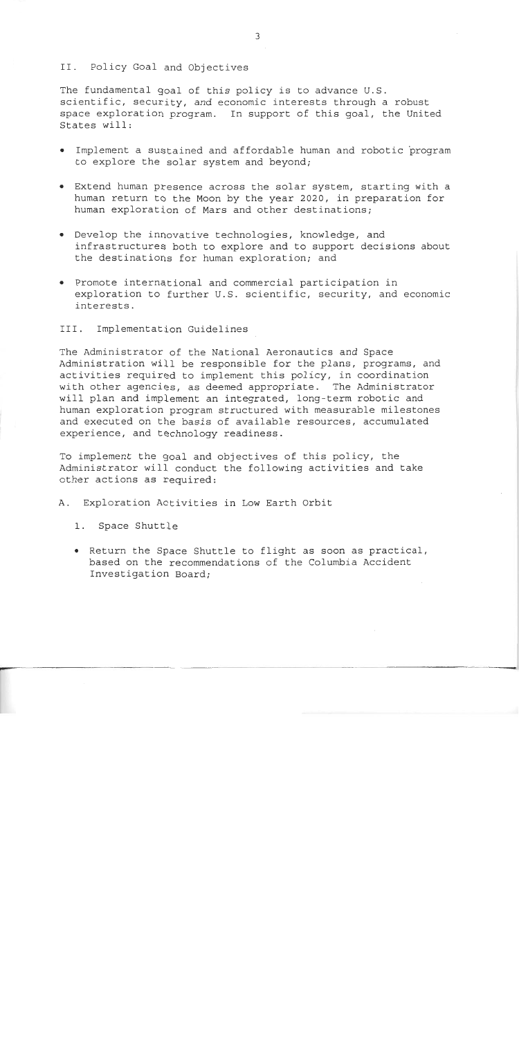### II. Policy Goal and Objectives

The fundamental goal of this policy is to advance U.S. scientific, security, and economic interests through a robust space exploration program. In support of this goal, the United States will:

- Implement a sustained and affordable human and robotic program to explore the solar system and beyond;
- Extend human presence across the solar system, starting with a human return to the Moon by the year 2020, in preparation for human exploration of Mars and other destinations;
- Develop the innovative technologies, knowledge, and infrastructures both to explore and to support decisions about the destinations for human exploration; and
- Promote international and commercial participation in exploration to further U.S. scientific, security, and economic interests.
- III. Implementation Guidelines

The Administrator of the National Aeronautics and Space Administration will be responsible for the plans, programs, and activities required to implement this policy, in coordination with other agencies, as deemed appropriate. The Administrator will plan and implement an integrated, long-term robotic and human exploration program structured with measurable milestones and executed on the basis of available resources, accumulated experience, and technology readiness.

To implement the goal and objectives of this policy, the Administrator will conduct the following activities and take other actions as required:

A. Exploration Activities in Low Earth Orbit

- 1. Space Shuttle
- Return the Space Shuttle to flight as soon as practical, based on the recommendations of the Columbia Accident Investigation Board;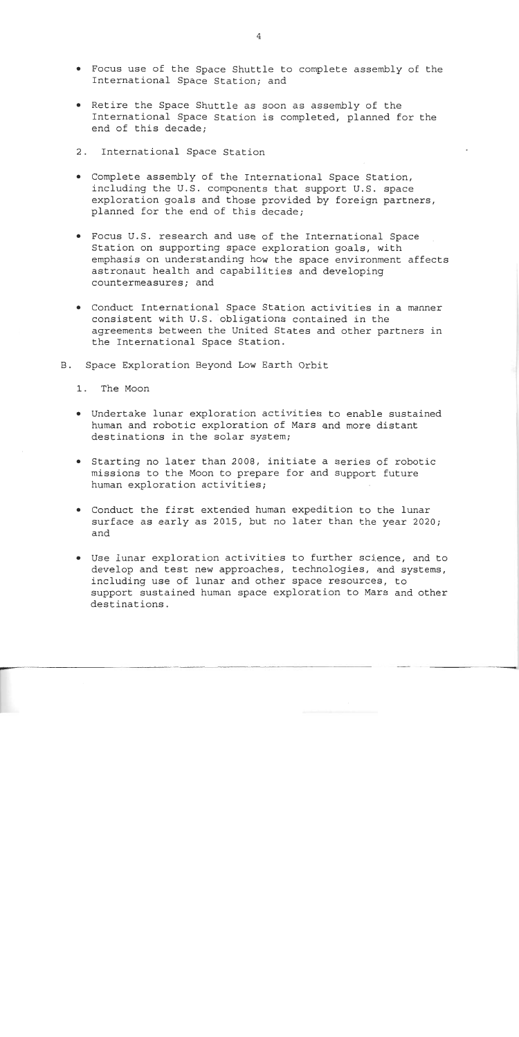- Focus use of the Space Shuttle to complete assembly of the International Space Station; and
- Retire the Space Shuttle as soon as assembly of the International Space Station is completed, planned for the end of this decade;
- 2. International Space Station
- Complete assembly of the International Space Station, including the U.S. components that support U.S. space exploration goals and those provided by foreign partners, planned for the end of this decade;
- Focus U.S. research and use of the International Space Station on supporting space exploration goals, with emphasis on understanding how the space environment affects astronaut health and capabilities and developing countermeasures; and
- Conduct International Space Station activities in a manner consistent with U.S. obligations contained in the agreements between the United States and other partners in the International Space Station.
- B. Space Exploration Beyond Low Earth Orbit
	- 1. The Moon
	- Undertake lunar exploration activities to enable sustained human and robotic exploration of Mars and more distant destinations in the solar system;
	- Starting no later than 2008, initiate a series of robotic missions to the Moon to prepare for and support future human exploration activities;
	- Conduct the first extenaed human expedition to the lunar surface as early as 2015, but no later than the year 2020; and
	- Use lunar exploration activities to further science, and to develop and test new approaches, technologies, and systems, including use of lunar and other space resources, to support sustained human space exploration to Mars and other destinations.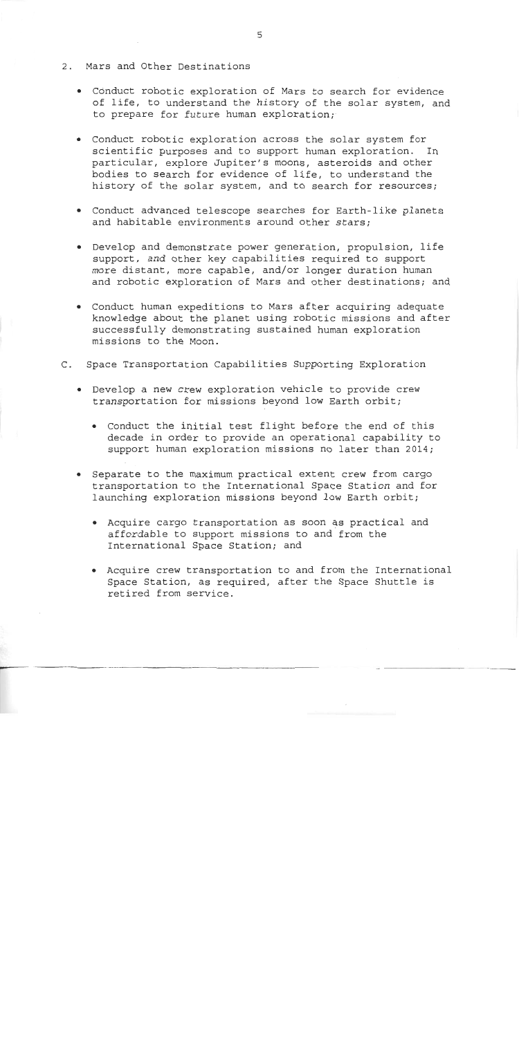- *r'.* 2. Mars and Other Destinations
	- Conduct robotic exploration of Mars to search for evidence of life, to understand the history of the solar system, and to prepare for future human exploration;
	- Conduct robotic exploration across the solar system for scientific purposes and to support human exploration. In particular, explore Jupiter's moons, asteroids and other bodies to search for evidence of life, to understand the history of the solar system, and to search for resources;
	- Conduct advanced telescope searches for Earth-like planets and habitable environments around other stars;
	- Develop and demonstrate power generation, propulsion, life support, and other key capabilities required to support more distant, more capable, and/or longer duration human and robotic exploration of Mars and other destinations; and
	- Conduct human expeditions to Mars after acquiring adequate knowledge about the planet using robotic missions and after successfully demonstrating sustained human exploration missions to the Moon.
- C. Space Transportation Capabilities Supporting Exploration
	- Develop a new crew exploration vehicle to provide crew transportation for missions beyond low Earth orbit;
		- Conduct the initial test flight before the end of this decade in order to provide an operational capability to support human exploration missions no later than 2014;
	- Separate to the maximum practical extent crew from cargo transportation to the International Space Station and for launching exploration missions beyond low Earth orbit;
		- Acquire cargo transportation as soon as practical and affordable to support missions to and'from the International Space Station; and
		- Acquire crew transportation to and from the International Space Station, as required, after the Space Shuttle is retired from service.